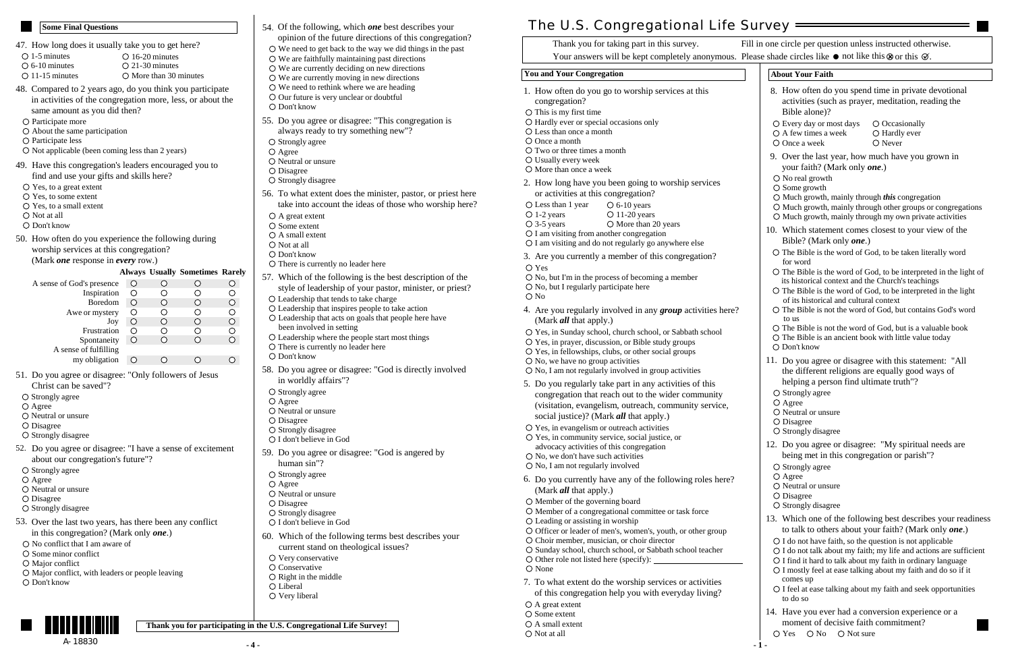### **You and Your Congregation**

(Mark *all* that apply.)

Less than 1 year  $\circ$  6-10 years

O No, but I regularly participate here

 $O$  1-2 years  $O$  11-20 years

3-5 years  $\circ$  More than 20 years

O I am visiting and do not regularly go anywhere else

- Two or three times a month
- Usually every week
- More than once a week
- 2. How long have you been going to worship services or activities at this congregation?

6. Do you currently have any of the following roles here?

 $\circ$  Officer or leader of men's, women's, youth, or other group

O Sunday school, church school, or Sabbath school teacher

O Member of a congregational committee or task force

5. Do you regularly take part in any activities of this congregation that reach out to the wider community (visitation, evangelism, outreach, community service,

I am visiting from another congregation

(Mark *all* that apply.)

 $\circ$  No, we have no group activities

social justice)? (Mark *all* that apply.)

- 1. How often do you go to worship services at this congregation?
- $\bigcirc$  This is my first time
- O Hardly ever or special occasions only
- Less than once a month
- O Once a month

 $\bigcirc$  Yes

O No

**- 4 -**

3. Are you currently a member of this congregation?

O No, but I'm in the process of becoming a member

A great extent O Some extent A small extent O Not at all

O None

7. To what extent do the worship services or activities of this congregation help you with everyday living?

| A sense of God's presence | () |  |  |
|---------------------------|----|--|--|
| Inspiration               |    |  |  |
| Boredom                   |    |  |  |
| Awe or mystery            |    |  |  |
| Joy                       |    |  |  |
| Frustration               |    |  |  |
| Spontaneity               |    |  |  |
| A sense of fulfilling     |    |  |  |
| my obligation             |    |  |  |

- O Some minor conflict
- O Major conflict
- Major conflict, with leaders or people leaving
- Don't know
- **Some Final Questions Compared 1 Compared 1 Compared 1 Compared 1 Compared 1 Compared 1 Compared 1 Compared 1 Compared 1 Compared 1 Compared 1 Compared 1 Compared 1 Compared 1 Compared 1 Com** opinion of the future directions of this congregation?
	- $\circ$  We need to get back to the way we did things in the past  $\circ$  We are faithfully maintaining past directions
	- $\overline{O}$  We are currently deciding on new directions
	- $\circ$  We are currently moving in new directions
	- $\circ$  We need to rethink where we are heading
	- Our future is very unclear or doubtful
	- Don't know
	- 55. Do you agree or disagree: "This congregation is always ready to try something new"?
	- $\bigcirc$  Strongly agree
	- O Agree
	- O Neutral or unsure
	- O Disagree
	- $\bigcirc$  Strongly disagree
	- 56. To what extent does the minister, pastor, or priest here take into account the ideas of those who worship here?
	- A great extent
	- O Some extent
	- O A small extent
	- O Not at all
	- O Don't know
	- O There is currently no leader here
	- Which of the following is the best description of the 57. style of leadership of your pastor, minister, or priest?
	- Leadership that tends to take charge
	- Leadership that inspires people to take action
	- Leadership that acts on goals that people here have been involved in setting
	- Leadership where the people start most things
	- $\circ$  There is currently no leader here
	- Don't know
	- 58. Do you agree or disagree: "God is directly involved in worldly affairs"?
	- $\bigcirc$  Strongly agree
	- O Agree
	- O Neutral or unsure
	- O Disagree
	- $\bigcirc$  Strongly disagree
	- O I don't believe in God
	- 59. Do you agree or disagree: "God is angered by human sin"?
	- $\bigcirc$  Strongly agree
	- $O$  Agree
	- $\bigcirc$  Neutral or unsure
	- O Disagree
	- $\bigcirc$  Strongly disagree
	- O I don't believe in God
	- 60. Which of the following terms best describes your current stand on theological issues?
	- O Very conservative
	- O Conservative
	- $\bigcirc$  Right in the middle
	- O Liberal
	- O Very liberal
- 51. Do you agree or disagree: "Only followers of Jesus Christ can be saved"?
- O Strongly agree
- O Agree
- O Neutral or unsure
- O Disagree
- $\bigcirc$  Strongly disagree
- 52. Do you agree or disagree: "I have a sense of excitement about our congregation's future"?
- O Strongly agree
- Agree
- O Neutral or unsure
- Disagree
- $\bigcirc$  Strongly disagree
- 53. Over the last two years, has there been any conflict in this congregation? (Mark only *one*.)
- O No conflict that I am aware of

| <b>About Your Faith</b>                                                                                                                                                                                                                                                                                                                                                                                                                     |
|---------------------------------------------------------------------------------------------------------------------------------------------------------------------------------------------------------------------------------------------------------------------------------------------------------------------------------------------------------------------------------------------------------------------------------------------|
| 8. How often do you spend time in private devotional<br>activities (such as prayer, meditation, reading the<br>Bible alone)?                                                                                                                                                                                                                                                                                                                |
| O Every day or most days<br>$\bigcirc$ Occasionally<br>O A few times a week<br>O Hardly ever<br>$\bigcirc$ Never<br>O Once a week                                                                                                                                                                                                                                                                                                           |
| 9. Over the last year, how much have you grown in<br>your faith? (Mark only <i>one</i> .)<br>O No real growth<br>$\circ$ Some growth<br>$\bigcirc$ Much growth, mainly through <i>this</i> congregation<br>O Much growth, mainly through other groups or congregations<br>O Much growth, mainly through my own private activities                                                                                                           |
| 10. Which statement comes closest to your view of the<br>Bible? (Mark only <i>one</i> .)<br>O The Bible is the word of God, to be taken literally word<br>for word                                                                                                                                                                                                                                                                          |
| O The Bible is the word of God, to be interpreted in the light of<br>its historical context and the Church's teachings<br>$\bigcirc$ The Bible is the word of God, to be interpreted in the light<br>of its historical and cultural context<br>O The Bible is not the word of God, but contains God's word<br>to us<br>O The Bible is not the word of God, but is a valuable book<br>O The Bible is an ancient book with little value today |
| O Don't know<br>11. Do you agree or disagree with this statement: "All<br>the different religions are equally good ways of<br>helping a person find ultimate truth"?                                                                                                                                                                                                                                                                        |
| $\bigcirc$ Strongly agree<br>$O$ Agree<br>$\bigcirc$ Neutral or unsure<br>$\bigcirc$ Disagree<br>$\bigcirc$ Strongly disagree                                                                                                                                                                                                                                                                                                               |
| 12. Do you agree or disagree: "My spiritual needs are<br>being met in this congregation or parish"?<br>$\bigcirc$ Strongly agree<br>$O$ Agree<br>O Neutral or unsure<br>$\bigcirc$ Disagree<br>O Strongly disagree                                                                                                                                                                                                                          |
| 13. Which one of the following best describes your readiness<br>to talk to others about your faith? (Mark only one.)                                                                                                                                                                                                                                                                                                                        |
| $\bigcirc$ I do not have faith, so the question is not applicable<br>O I do not talk about my faith; my life and actions are sufficient<br>O I find it hard to talk about my faith in ordinary language<br>O I mostly feel at ease talking about my faith and do so if it<br>comes up                                                                                                                                                       |
| O I feel at ease talking about my faith and seek opportunities<br>to do so                                                                                                                                                                                                                                                                                                                                                                  |
| 14. Have you ever had a conversion experience or a<br>moment of decisive faith commitment?                                                                                                                                                                                                                                                                                                                                                  |

 $\bigcirc$  Yes  $\bigcirc$  No  $\bigcirc$  Not sure

Yes, in prayer, discussion, or Bible study groups Yes, in Sunday school, church school, or Sabbath school

Yes, in fellowships, clubs, or other social groups

 $\circ$  No, I am not regularly involved in group activities

4. Are you regularly involved in any group activities here?

- 47. How long does it usually take you to get here?
- $\bigcirc$  1-5 minutes  $O$  16-20 minutes
- $\circ$  6-10 minutes 21-30 minutes
- $O$  11-15 minutes  $\bigcirc$  More than 30 minutes
- 48. Compared to 2 years ago, do you think you participate in activities of the congregation more, less, or about the same amount as you did then?
- O Participate more
- About the same participation
- O Participate less
- Not applicable (been coming less than 2 years)
- 49. Have this congregation's leaders encouraged you to find and use your gifts and skills here?
- $\bigcirc$  Yes, to a great extent
- Yes, to some extent
- Yes, to a small extent
- O Not at all
- Don't know
- 50. How often do you experience the following during worship services at this congregation?

Yes, in evangelism or outreach activities Yes, in community service, social justice, or advocacy activities of this congregation

O No, we don't have such activities  $\circ$  No, I am not regularly involved

# (Mark *one* response in *every* row.)

## **Always Usually Sometimes Rarely**

Fill in one circle per question unless instructed otherwise.

Your answers will be kept completely anonymous. Please shade circles like  $\bullet$  not like this  $\otimes$  or this  $\oslash$ .

Thank you for taking part in this survey.

A-18830

**Thank you for participating in the U.S. Congregational Life Survey!**

The U.S. Congregational Life Survey =

Member of the governing board

 $\Omega$  Leading or assisting in worship

O Choir member, musician, or choir director

Other role not listed here (specify):